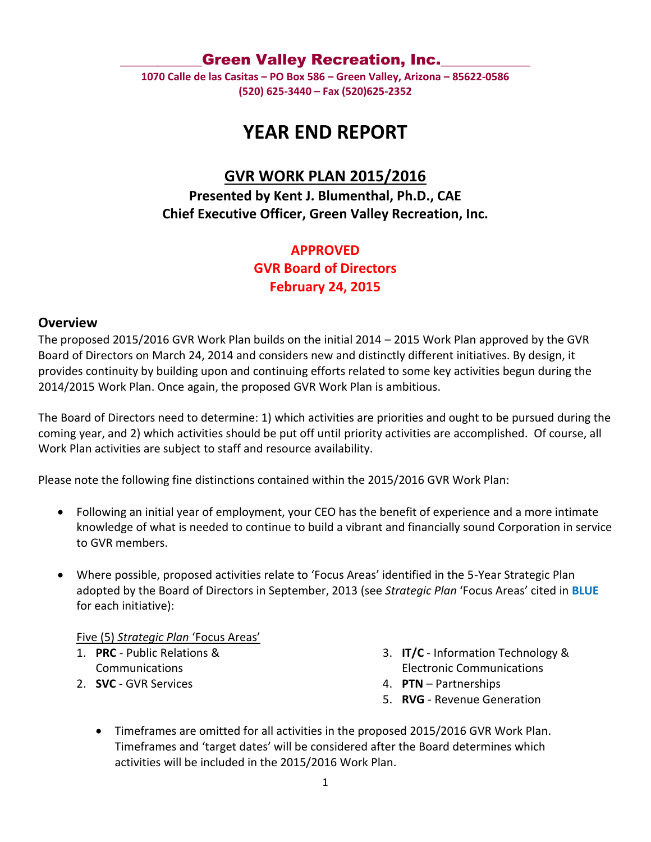### Green Valley Recreation, Inc.

**1070 Calle de las Casitas – PO Box 586 – Green Valley, Arizona – 85622-0586 (520) 625-3440 – Fax (520)625-2352**

# **YEAR END REPORT**

# **GVR WORK PLAN 2015/2016**

**Presented by Kent J. Blumenthal, Ph.D., CAE Chief Executive Officer, Green Valley Recreation, Inc.**

## **APPROVED**

### **GVR Board of Directors**

**February 24, 2015**

### **Overview**

The proposed 2015/2016 GVR Work Plan builds on the initial 2014 – 2015 Work Plan approved by the GVR Board of Directors on March 24, 2014 and considers new and distinctly different initiatives. By design, it provides continuity by building upon and continuing efforts related to some key activities begun during the 2014/2015 Work Plan. Once again, the proposed GVR Work Plan is ambitious.

The Board of Directors need to determine: 1) which activities are priorities and ought to be pursued during the coming year, and 2) which activities should be put off until priority activities are accomplished. Of course, all Work Plan activities are subject to staff and resource availability.

Please note the following fine distinctions contained within the 2015/2016 GVR Work Plan:

- Following an initial year of employment, your CEO has the benefit of experience and a more intimate knowledge of what is needed to continue to build a vibrant and financially sound Corporation in service to GVR members.
- Where possible, proposed activities relate to 'Focus Areas' identified in the 5-Year Strategic Plan adopted by the Board of Directors in September, 2013 (see *Strategic Plan* 'Focus Areas' cited in **BLUE** for each initiative):

#### Five (5) *Strategic Plan* 'Focus Areas'

- 1. **PRC** Public Relations & **Communications**
- 2. **SVC** GVR Services
- 3. **IT/C** Information Technology & Electronic Communications
- 4. **PTN** Partnerships
- 5. **RVG** Revenue Generation
- Timeframes are omitted for all activities in the proposed 2015/2016 GVR Work Plan. Timeframes and 'target dates' will be considered after the Board determines which activities will be included in the 2015/2016 Work Plan.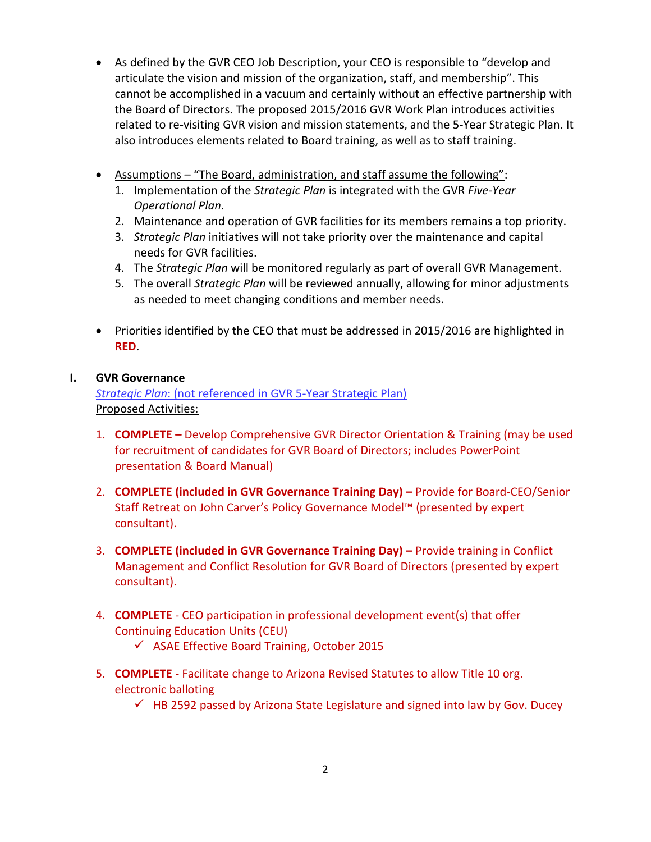- As defined by the GVR CEO Job Description, your CEO is responsible to "develop and articulate the vision and mission of the organization, staff, and membership". This cannot be accomplished in a vacuum and certainly without an effective partnership with the Board of Directors. The proposed 2015/2016 GVR Work Plan introduces activities related to re-visiting GVR vision and mission statements, and the 5-Year Strategic Plan. It also introduces elements related to Board training, as well as to staff training.
- Assumptions "The Board, administration, and staff assume the following":
	- 1. Implementation of the *Strategic Plan* is integrated with the GVR *Five-Year Operational Plan*.
	- 2. Maintenance and operation of GVR facilities for its members remains a top priority.
	- 3. *Strategic Plan* initiatives will not take priority over the maintenance and capital needs for GVR facilities.
	- 4. The *Strategic Plan* will be monitored regularly as part of overall GVR Management.
	- 5. The overall *Strategic Plan* will be reviewed annually, allowing for minor adjustments as needed to meet changing conditions and member needs.
- Priorities identified by the CEO that must be addressed in 2015/2016 are highlighted in **RED**.

### **I. GVR Governance**

*Strategic Plan*: (not referenced in GVR 5-Year Strategic Plan) Proposed Activities:

- 1. **COMPLETE –** Develop Comprehensive GVR Director Orientation & Training (may be used for recruitment of candidates for GVR Board of Directors; includes PowerPoint presentation & Board Manual)
- 2. **COMPLETE (included in GVR Governance Training Day) –** Provide for Board-CEO/Senior Staff Retreat on John Carver's Policy Governance Model™ (presented by expert consultant).
- 3. **COMPLETE (included in GVR Governance Training Day) –** Provide training in Conflict Management and Conflict Resolution for GVR Board of Directors (presented by expert consultant).
- 4. **COMPLETE** CEO participation in professional development event(s) that offer Continuing Education Units (CEU)
	- $\checkmark$  ASAE Effective Board Training, October 2015
- 5. **COMPLETE** Facilitate change to Arizona Revised Statutes to allow Title 10 org. electronic balloting
	- $\checkmark$  HB 2592 passed by Arizona State Legislature and signed into law by Gov. Ducey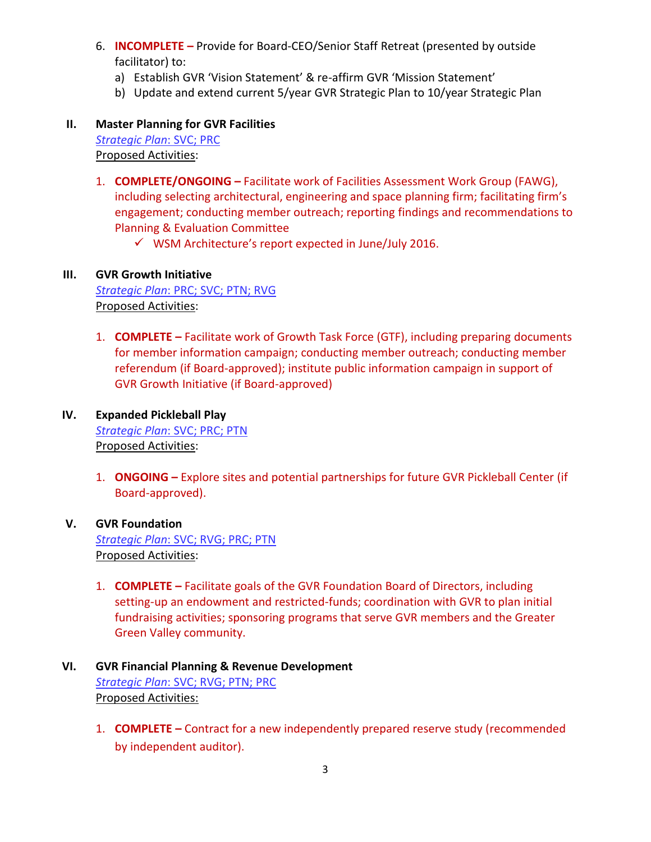- 6. **INCOMPLETE –** Provide for Board-CEO/Senior Staff Retreat (presented by outside facilitator) to:
	- a) Establish GVR 'Vision Statement' & re-affirm GVR 'Mission Statement'
	- b) Update and extend current 5/year GVR Strategic Plan to 10/year Strategic Plan

## **II. Master Planning for GVR Facilities**

*Strategic Plan*: SVC; PRC Proposed Activities:

- 1. **COMPLETE/ONGOING –** Facilitate work of Facilities Assessment Work Group (FAWG), including selecting architectural, engineering and space planning firm; facilitating firm's engagement; conducting member outreach; reporting findings and recommendations to Planning & Evaluation Committee
	- $\checkmark$  WSM Architecture's report expected in June/July 2016.

### **III. GVR Growth Initiative**

*Strategic Plan*: PRC; SVC; PTN; RVG Proposed Activities:

1. **COMPLETE –** Facilitate work of Growth Task Force (GTF), including preparing documents for member information campaign; conducting member outreach; conducting member referendum (if Board-approved); institute public information campaign in support of GVR Growth Initiative (if Board-approved)

#### **IV. Expanded Pickleball Play** *Strategic Plan*: SVC; PRC; PTN Proposed Activities:

1. **ONGOING –** Explore sites and potential partnerships for future GVR Pickleball Center (if Board-approved).

### **V. GVR Foundation** *Strategic Plan*: SVC; RVG; PRC; PTN Proposed Activities:

1. **COMPLETE –** Facilitate goals of the GVR Foundation Board of Directors, including setting-up an endowment and restricted-funds; coordination with GVR to plan initial fundraising activities; sponsoring programs that serve GVR members and the Greater Green Valley community.

### **VI. GVR Financial Planning & Revenue Development** *Strategic Plan*: SVC; RVG; PTN; PRC Proposed Activities:

1. **COMPLETE –** Contract for a new independently prepared reserve study (recommended by independent auditor).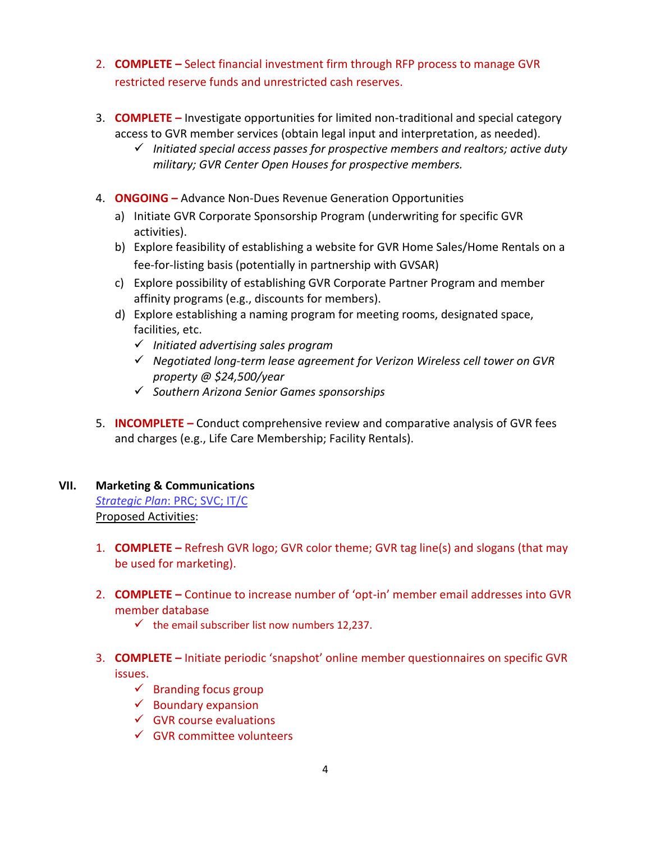- 2. **COMPLETE –** Select financial investment firm through RFP process to manage GVR restricted reserve funds and unrestricted cash reserves.
- 3. **COMPLETE –** Investigate opportunities for limited non-traditional and special category access to GVR member services (obtain legal input and interpretation, as needed).
	- *Initiated special access passes for prospective members and realtors; active duty military; GVR Center Open Houses for prospective members.*
- 4. **ONGOING –** Advance Non-Dues Revenue Generation Opportunities
	- a) Initiate GVR Corporate Sponsorship Program (underwriting for specific GVR activities).
	- b) Explore feasibility of establishing a website for GVR Home Sales/Home Rentals on a fee-for-listing basis (potentially in partnership with GVSAR)
	- c) Explore possibility of establishing GVR Corporate Partner Program and member affinity programs (e.g., discounts for members).
	- d) Explore establishing a naming program for meeting rooms, designated space, facilities, etc.
		- *Initiated advertising sales program*
		- *Negotiated long-term lease agreement for Verizon Wireless cell tower on GVR property @ \$24,500/year*
		- *Southern Arizona Senior Games sponsorships*
- 5. **INCOMPLETE –** Conduct comprehensive review and comparative analysis of GVR fees and charges (e.g., Life Care Membership; Facility Rentals).

### **VII. Marketing & Communications**

*Strategic Plan*: PRC; SVC; IT/C Proposed Activities:

- 1. **COMPLETE –** Refresh GVR logo; GVR color theme; GVR tag line(s) and slogans (that may be used for marketing).
- 2. **COMPLETE –** Continue to increase number of 'opt-in' member email addresses into GVR member database
	- $\checkmark$  the email subscriber list now numbers 12,237.
- 3. **COMPLETE –** Initiate periodic 'snapshot' online member questionnaires on specific GVR issues.
	- $\checkmark$  Branding focus group
	- $\checkmark$  Boundary expansion
	- $\checkmark$  GVR course evaluations
	- $\checkmark$  GVR committee volunteers